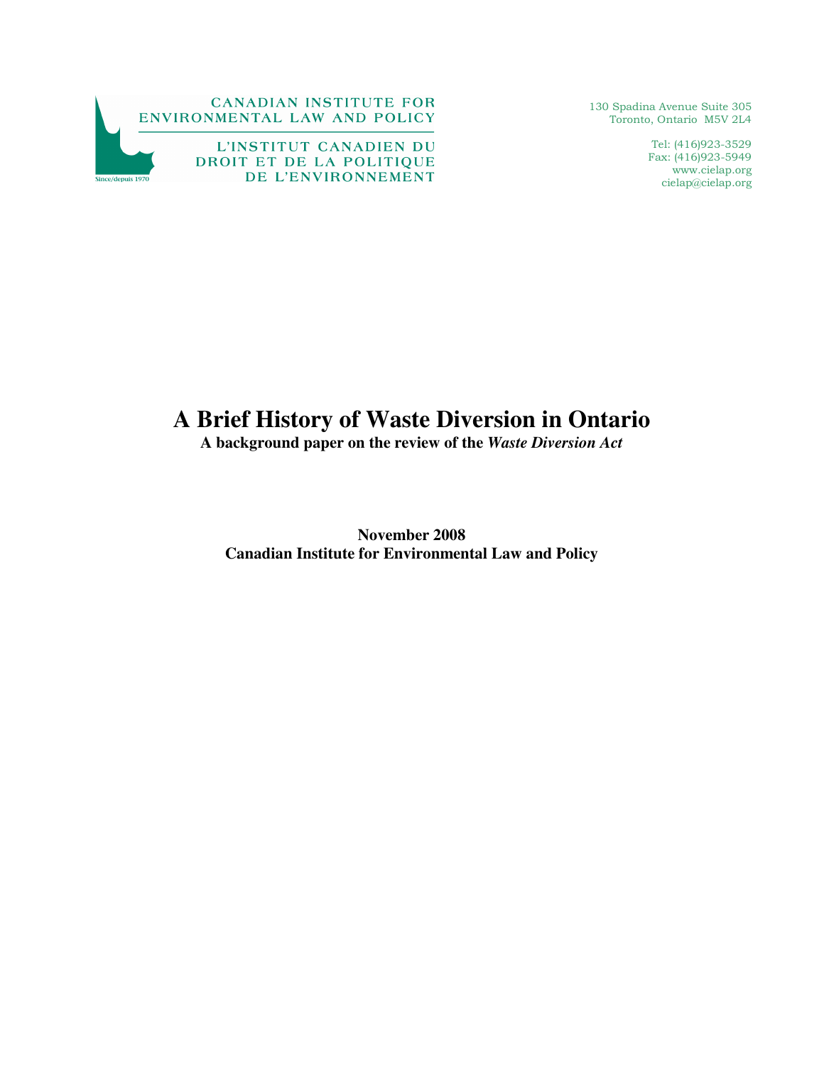

130 Spadina Avenue Suite 305 Toronto, Ontario M5V 2L4

> Tel: (416)923-3529 Fax: (416)923-5949 www.cielap.org cielap@cielap.org

# **A Brief History of Waste Diversion in Ontario**

**A background paper on the review of the** *Waste Diversion Act*

**November 2008 Canadian Institute for Environmental Law and Policy**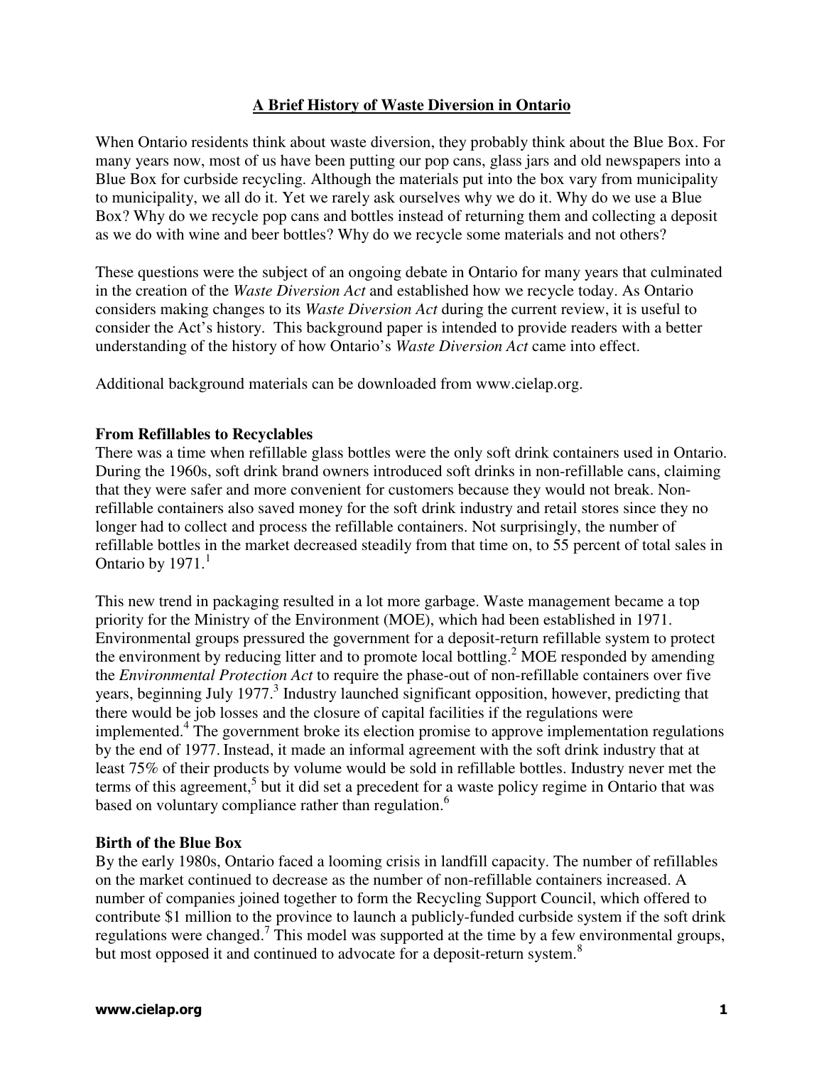# **A Brief History of Waste Diversion in Ontario**

When Ontario residents think about waste diversion, they probably think about the Blue Box. For many years now, most of us have been putting our pop cans, glass jars and old newspapers into a Blue Box for curbside recycling. Although the materials put into the box vary from municipality to municipality, we all do it. Yet we rarely ask ourselves why we do it. Why do we use a Blue Box? Why do we recycle pop cans and bottles instead of returning them and collecting a deposit as we do with wine and beer bottles? Why do we recycle some materials and not others?

These questions were the subject of an ongoing debate in Ontario for many years that culminated in the creation of the *Waste Diversion Act* and established how we recycle today. As Ontario considers making changes to its *Waste Diversion Act* during the current review, it is useful to consider the Act's history. This background paper is intended to provide readers with a better understanding of the history of how Ontario's *Waste Diversion Act* came into effect.

Additional background materials can be downloaded from www.cielap.org.

### **From Refillables to Recyclables**

There was a time when refillable glass bottles were the only soft drink containers used in Ontario. During the 1960s, soft drink brand owners introduced soft drinks in non-refillable cans, claiming that they were safer and more convenient for customers because they would not break. Nonrefillable containers also saved money for the soft drink industry and retail stores since they no longer had to collect and process the refillable containers. Not surprisingly, the number of refillable bottles in the market decreased steadily from that time on, to 55 percent of total sales in Ontario by  $1971<sup>1</sup>$ 

This new trend in packaging resulted in a lot more garbage. Waste management became a top priority for the Ministry of the Environment (MOE), which had been established in 1971. Environmental groups pressured the government for a deposit-return refillable system to protect the environment by reducing litter and to promote local bottling.<sup>2</sup> MOE responded by amending the *Environmental Protection Act* to require the phase-out of non-refillable containers over five years, beginning July 1977.<sup>3</sup> Industry launched significant opposition, however, predicting that there would be job losses and the closure of capital facilities if the regulations were implemented.<sup>4</sup> The government broke its election promise to approve implementation regulations by the end of 1977. Instead, it made an informal agreement with the soft drink industry that at least 75% of their products by volume would be sold in refillable bottles. Industry never met the terms of this agreement,<sup>5</sup> but it did set a precedent for a waste policy regime in Ontario that was based on voluntary compliance rather than regulation.<sup>6</sup>

#### **Birth of the Blue Box**

By the early 1980s, Ontario faced a looming crisis in landfill capacity. The number of refillables on the market continued to decrease as the number of non-refillable containers increased. A number of companies joined together to form the Recycling Support Council, which offered to contribute \$1 million to the province to launch a publicly-funded curbside system if the soft drink regulations were changed.<sup>7</sup> This model was supported at the time by a few environmental groups, but most opposed it and continued to advocate for a deposit-return system.<sup>8</sup>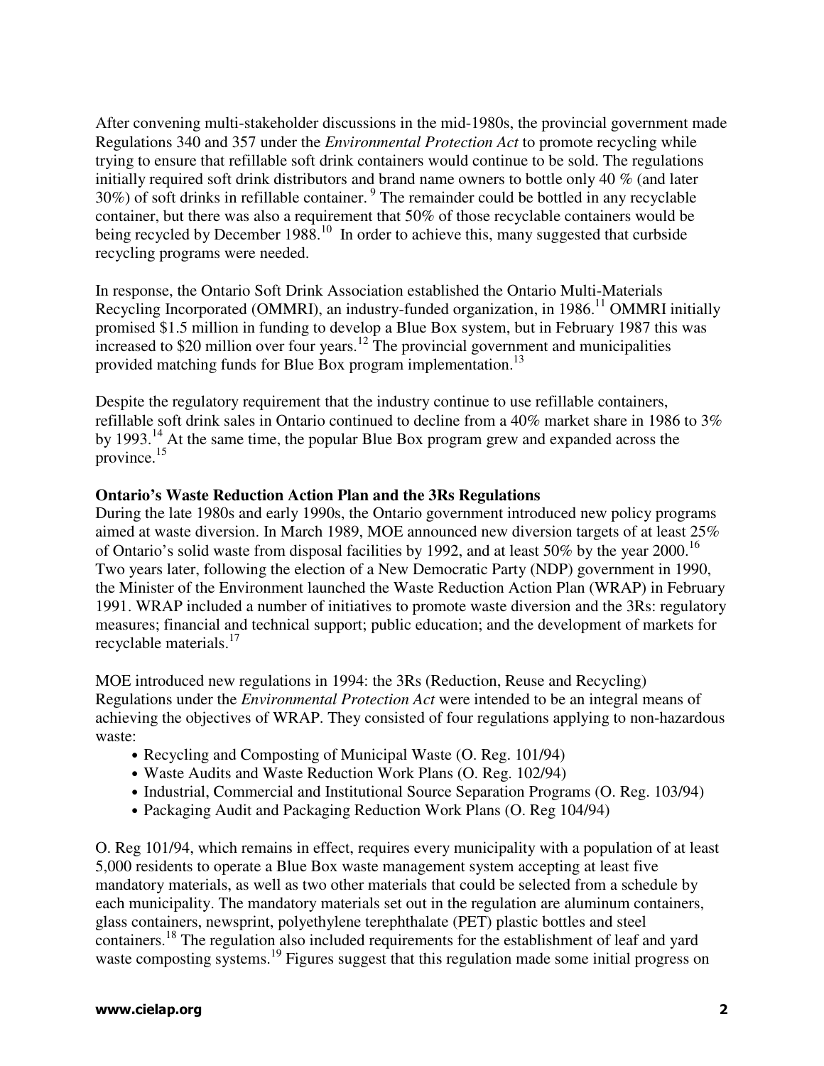After convening multi-stakeholder discussions in the mid-1980s, the provincial government made Regulations 340 and 357 under the *Environmental Protection Act* to promote recycling while trying to ensure that refillable soft drink containers would continue to be sold. The regulations initially required soft drink distributors and brand name owners to bottle only 40 % (and later  $30\%$ ) of soft drinks in refillable container.<sup>9</sup> The remainder could be bottled in any recyclable container, but there was also a requirement that 50% of those recyclable containers would be being recycled by December 1988.<sup>10</sup> In order to achieve this, many suggested that curbside recycling programs were needed.

In response, the Ontario Soft Drink Association established the Ontario Multi-Materials Recycling Incorporated (OMMRI), an industry-funded organization, in 1986.<sup>11</sup> OMMRI initially promised \$1.5 million in funding to develop a Blue Box system, but in February 1987 this was increased to \$20 million over four years.<sup>12</sup> The provincial government and municipalities provided matching funds for Blue Box program implementation.<sup>13</sup>

Despite the regulatory requirement that the industry continue to use refillable containers, refillable soft drink sales in Ontario continued to decline from a 40% market share in 1986 to 3% by 1993.<sup>14</sup> At the same time, the popular Blue Box program grew and expanded across the province. $15$ 

# **Ontario's Waste Reduction Action Plan and the 3Rs Regulations**

During the late 1980s and early 1990s, the Ontario government introduced new policy programs aimed at waste diversion. In March 1989, MOE announced new diversion targets of at least 25% of Ontario's solid waste from disposal facilities by 1992, and at least 50% by the year 2000.<sup>16</sup> Two years later, following the election of a New Democratic Party (NDP) government in 1990, the Minister of the Environment launched the Waste Reduction Action Plan (WRAP) in February 1991. WRAP included a number of initiatives to promote waste diversion and the 3Rs: regulatory measures; financial and technical support; public education; and the development of markets for recyclable materials.<sup>17</sup>

MOE introduced new regulations in 1994: the 3Rs (Reduction, Reuse and Recycling) Regulations under the *Environmental Protection Act* were intended to be an integral means of achieving the objectives of WRAP. They consisted of four regulations applying to non-hazardous waste:

- Recycling and Composting of Municipal Waste (O. Reg. 101/94)
- Waste Audits and Waste Reduction Work Plans (O. Reg. 102/94)
- Industrial, Commercial and Institutional Source Separation Programs (O. Reg. 103/94)
- Packaging Audit and Packaging Reduction Work Plans (O. Reg 104/94)

O. Reg 101/94, which remains in effect, requires every municipality with a population of at least 5,000 residents to operate a Blue Box waste management system accepting at least five mandatory materials, as well as two other materials that could be selected from a schedule by each municipality. The mandatory materials set out in the regulation are aluminum containers, glass containers, newsprint, polyethylene terephthalate (PET) plastic bottles and steel containers.<sup>18</sup> The regulation also included requirements for the establishment of leaf and yard waste composting systems.<sup>19</sup> Figures suggest that this regulation made some initial progress on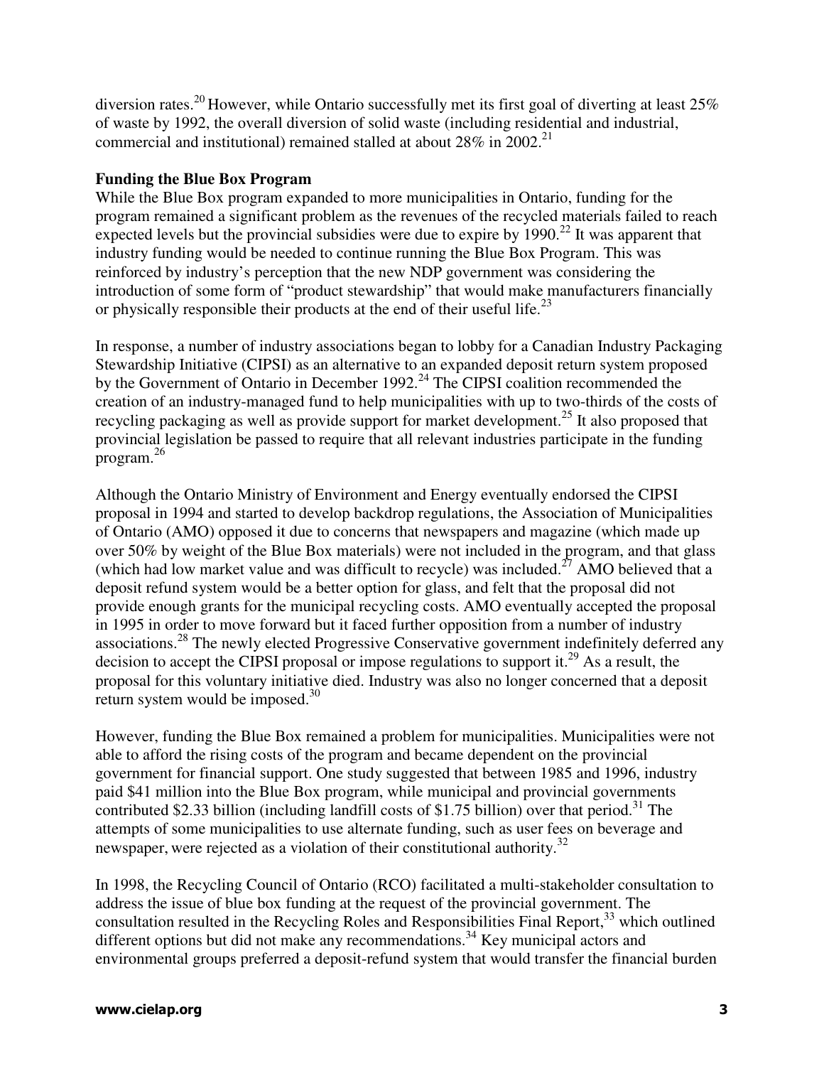diversion rates.<sup>20</sup> However, while Ontario successfully met its first goal of diverting at least  $25\%$ of waste by 1992, the overall diversion of solid waste (including residential and industrial, commercial and institutional) remained stalled at about  $28\%$  in  $2002$ <sup>21</sup>

### **Funding the Blue Box Program**

While the Blue Box program expanded to more municipalities in Ontario, funding for the program remained a significant problem as the revenues of the recycled materials failed to reach expected levels but the provincial subsidies were due to expire by  $1990.<sup>22</sup>$  It was apparent that industry funding would be needed to continue running the Blue Box Program. This was reinforced by industry's perception that the new NDP government was considering the introduction of some form of "product stewardship" that would make manufacturers financially or physically responsible their products at the end of their useful life.<sup>23</sup>

In response, a number of industry associations began to lobby for a Canadian Industry Packaging Stewardship Initiative (CIPSI) as an alternative to an expanded deposit return system proposed by the Government of Ontario in December 1992.<sup>24</sup> The CIPSI coalition recommended the creation of an industry-managed fund to help municipalities with up to two-thirds of the costs of recycling packaging as well as provide support for market development.<sup>25</sup> It also proposed that provincial legislation be passed to require that all relevant industries participate in the funding program.<sup>26</sup>

Although the Ontario Ministry of Environment and Energy eventually endorsed the CIPSI proposal in 1994 and started to develop backdrop regulations, the Association of Municipalities of Ontario (AMO) opposed it due to concerns that newspapers and magazine (which made up over 50% by weight of the Blue Box materials) were not included in the program, and that glass (which had low market value and was difficult to recycle) was included.<sup>27</sup> AMO believed that a deposit refund system would be a better option for glass, and felt that the proposal did not provide enough grants for the municipal recycling costs. AMO eventually accepted the proposal in 1995 in order to move forward but it faced further opposition from a number of industry associations.<sup>28</sup> The newly elected Progressive Conservative government indefinitely deferred any decision to accept the CIPSI proposal or impose regulations to support it.<sup>29</sup> As a result, the proposal for this voluntary initiative died. Industry was also no longer concerned that a deposit return system would be imposed.<sup>30</sup>

However, funding the Blue Box remained a problem for municipalities. Municipalities were not able to afford the rising costs of the program and became dependent on the provincial government for financial support. One study suggested that between 1985 and 1996, industry paid \$41 million into the Blue Box program, while municipal and provincial governments contributed \$2.33 billion (including landfill costs of \$1.75 billion) over that period.<sup>31</sup> The attempts of some municipalities to use alternate funding, such as user fees on beverage and newspaper, were rejected as a violation of their constitutional authority.<sup>32</sup>

In 1998, the Recycling Council of Ontario (RCO) facilitated a multi-stakeholder consultation to address the issue of blue box funding at the request of the provincial government. The consultation resulted in the Recycling Roles and Responsibilities Final Report,<sup>33</sup> which outlined different options but did not make any recommendations.<sup>34</sup> Key municipal actors and environmental groups preferred a deposit-refund system that would transfer the financial burden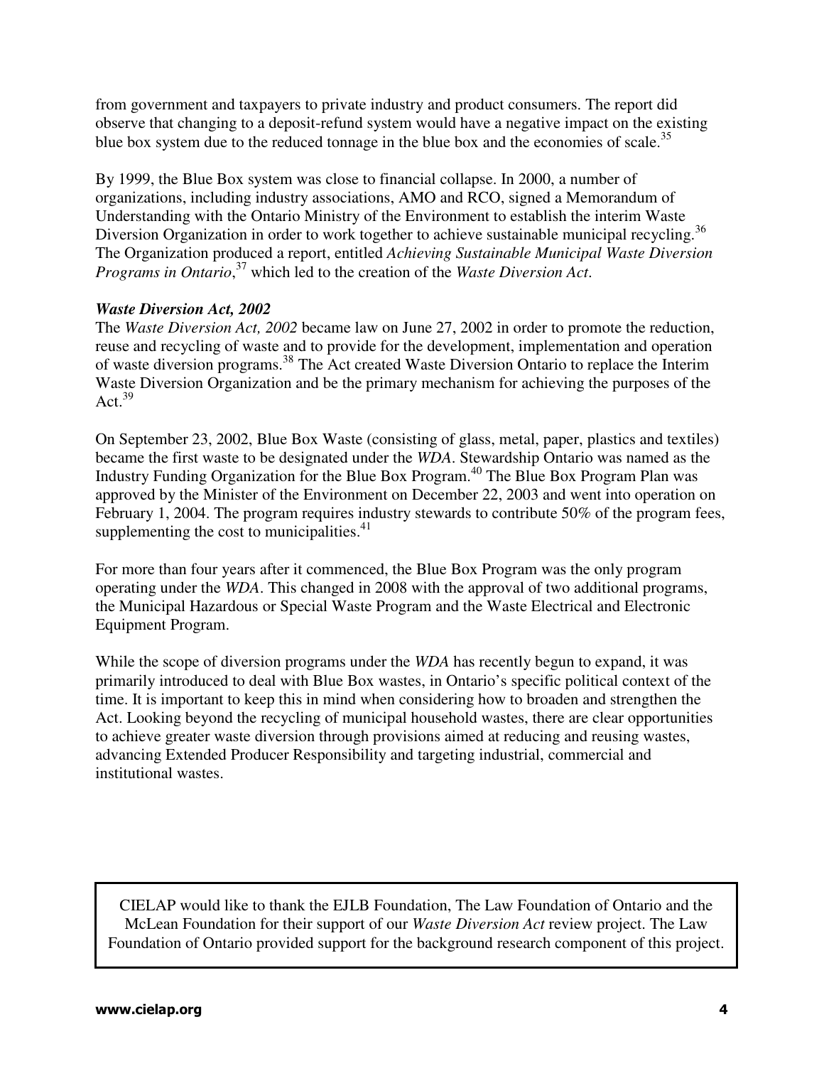from government and taxpayers to private industry and product consumers. The report did observe that changing to a deposit-refund system would have a negative impact on the existing blue box system due to the reduced tonnage in the blue box and the economies of scale.<sup>35</sup>

By 1999, the Blue Box system was close to financial collapse. In 2000, a number of organizations, including industry associations, AMO and RCO, signed a Memorandum of Understanding with the Ontario Ministry of the Environment to establish the interim Waste Diversion Organization in order to work together to achieve sustainable municipal recycling.<sup>36</sup> The Organization produced a report, entitled *Achieving Sustainable Municipal Waste Diversion Programs in Ontario*, <sup>37</sup> which led to the creation of the *Waste Diversion Act*.

# *Waste Diversion Act, 2002*

The *Waste Diversion Act, 2002* became law on June 27, 2002 in order to promote the reduction, reuse and recycling of waste and to provide for the development, implementation and operation of waste diversion programs.<sup>38</sup> The Act created Waste Diversion Ontario to replace the Interim Waste Diversion Organization and be the primary mechanism for achieving the purposes of the Act. $39$ 

On September 23, 2002, Blue Box Waste (consisting of glass, metal, paper, plastics and textiles) became the first waste to be designated under the *WDA*. Stewardship Ontario was named as the Industry Funding Organization for the Blue Box Program.<sup>40</sup> The Blue Box Program Plan was approved by the Minister of the Environment on December 22, 2003 and went into operation on February 1, 2004. The program requires industry stewards to contribute 50% of the program fees, supplementing the cost to municipalities. $41$ 

For more than four years after it commenced, the Blue Box Program was the only program operating under the *WDA*. This changed in 2008 with the approval of two additional programs, the Municipal Hazardous or Special Waste Program and the Waste Electrical and Electronic Equipment Program.

While the scope of diversion programs under the *WDA* has recently begun to expand, it was primarily introduced to deal with Blue Box wastes, in Ontario's specific political context of the time. It is important to keep this in mind when considering how to broaden and strengthen the Act. Looking beyond the recycling of municipal household wastes, there are clear opportunities to achieve greater waste diversion through provisions aimed at reducing and reusing wastes, advancing Extended Producer Responsibility and targeting industrial, commercial and institutional wastes.

CIELAP would like to thank the EJLB Foundation, The Law Foundation of Ontario and the McLean Foundation for their support of our *Waste Diversion Act* review project. The Law Foundation of Ontario provided support for the background research component of this project.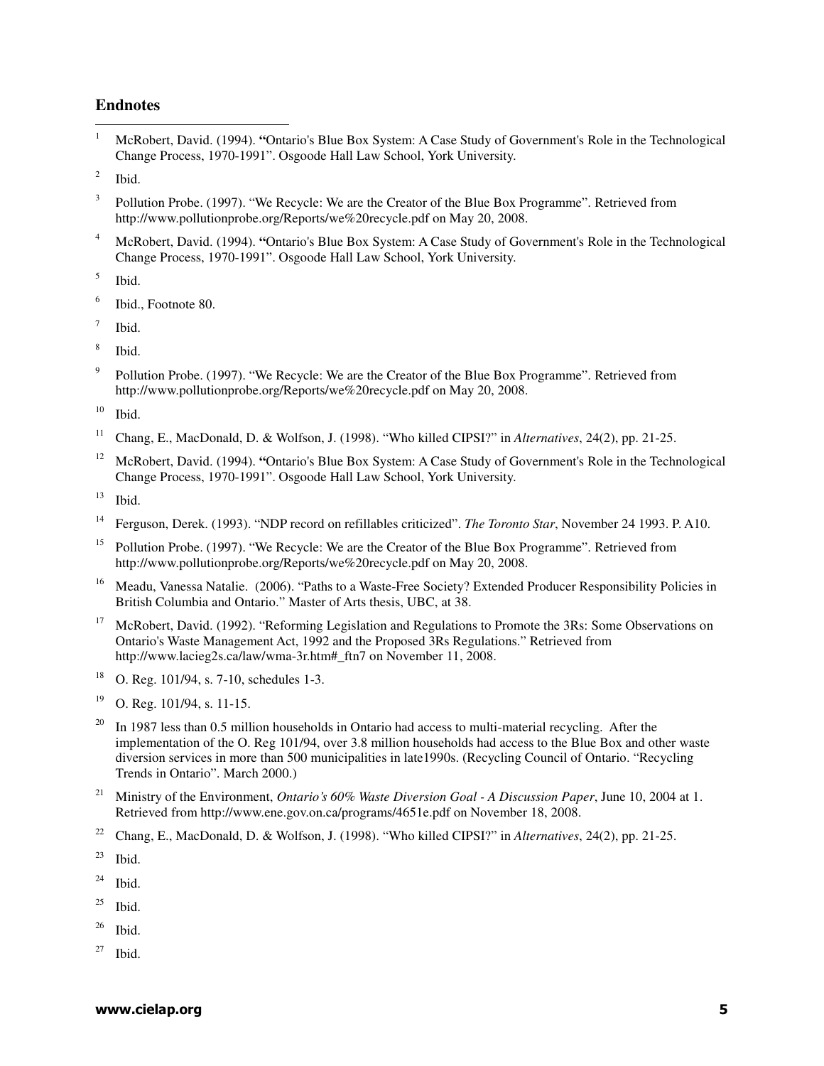#### **Endnotes**

 $\frac{1}{1}$  McRobert, David. (1994). **"**Ontario's Blue Box System: A Case Study of Government's Role in the Technological Change Process, 1970-1991". Osgoode Hall Law School, York University.

2 Ibid.

- 3 Pollution Probe. (1997). "We Recycle: We are the Creator of the Blue Box Programme". Retrieved from http://www.pollutionprobe.org/Reports/we%20recycle.pdf on May 20, 2008.
- 4 McRobert, David. (1994). **"**Ontario's Blue Box System: A Case Study of Government's Role in the Technological Change Process, 1970-1991". Osgoode Hall Law School, York University.

5 Ibid.

6 Ibid., Footnote 80.

7 Ibid.

8 Ibid.

9 Pollution Probe. (1997). "We Recycle: We are the Creator of the Blue Box Programme". Retrieved from http://www.pollutionprobe.org/Reports/we%20recycle.pdf on May 20, 2008.

 $10$  Ibid.

- <sup>11</sup> Chang, E., MacDonald, D. & Wolfson, J. (1998). "Who killed CIPSI?" in *Alternatives*, 24(2), pp. 21-25.
- <sup>12</sup> McRobert, David. (1994). **"**Ontario's Blue Box System: A Case Study of Government's Role in the Technological Change Process, 1970-1991". Osgoode Hall Law School, York University.

 $13$  Ibid.

- <sup>14</sup> Ferguson, Derek. (1993). "NDP record on refillables criticized". *The Toronto Star*, November 24 1993. P. A10.
- <sup>15</sup> Pollution Probe. (1997). "We Recycle: We are the Creator of the Blue Box Programme". Retrieved from http://www.pollutionprobe.org/Reports/we%20recycle.pdf on May 20, 2008.
- <sup>16</sup> Meadu, Vanessa Natalie. (2006). "Paths to a Waste-Free Society? Extended Producer Responsibility Policies in British Columbia and Ontario." Master of Arts thesis, UBC, at 38.
- <sup>17</sup> McRobert, David. (1992). "Reforming Legislation and Regulations to Promote the 3Rs: Some Observations on Ontario's Waste Management Act, 1992 and the Proposed 3Rs Regulations." Retrieved from http://www.lacieg2s.ca/law/wma-3r.htm#\_ftn7 on November 11, 2008.
- <sup>18</sup> O. Reg. 101/94, s. 7-10, schedules 1-3.
- $19$  O. Reg. 101/94, s. 11-15.
- $20$  In 1987 less than 0.5 million households in Ontario had access to multi-material recycling. After the implementation of the O. Reg 101/94, over 3.8 million households had access to the Blue Box and other waste diversion services in more than 500 municipalities in late1990s. (Recycling Council of Ontario. "Recycling Trends in Ontario". March 2000.)
- <sup>21</sup> Ministry of the Environment, *Ontario's 60% Waste Diversion Goal A Discussion Paper*, June 10, 2004 at 1. Retrieved from http://www.ene.gov.on.ca/programs/4651e.pdf on November 18, 2008.
- <sup>22</sup> Chang, E., MacDonald, D. & Wolfson, J. (1998). "Who killed CIPSI?" in *Alternatives*, 24(2), pp. 21-25.

 $23$  Ibid.

 $24$  Ibid.

 $25$  Ibid.

 $26$  Ibid.

 $27$  Ibid.